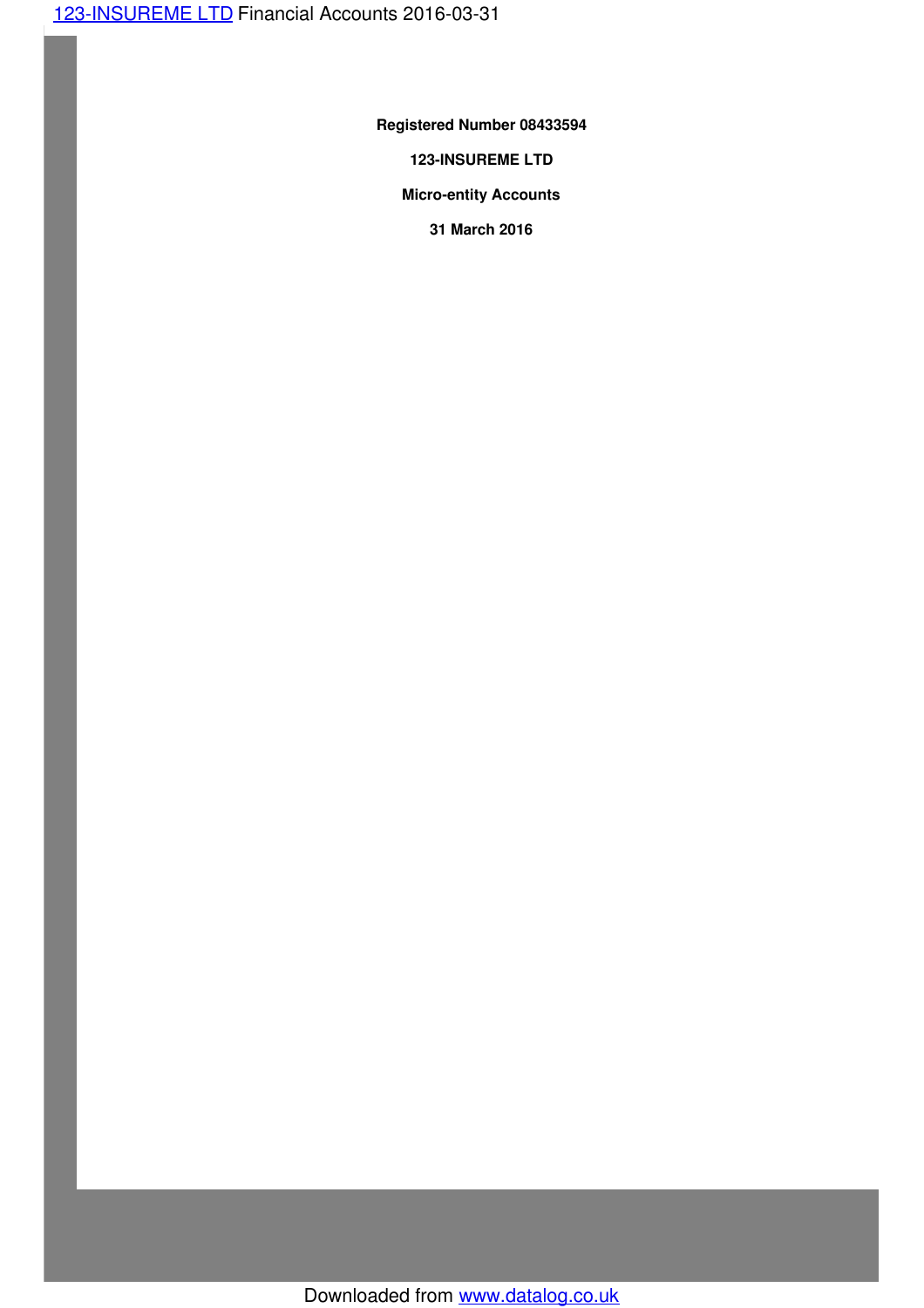**Registered Number 08433594**

**123-INSUREME LTD**

**Micro-entity Accounts**

**31 March 2016**

Downloaded from www.datalog.co.uk